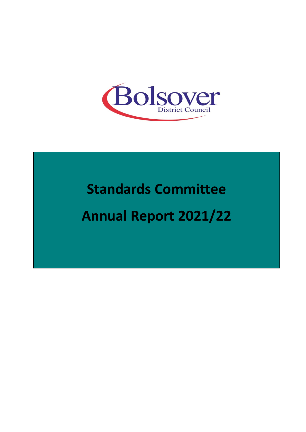

# **Standards Committee Annual Report 2021/22**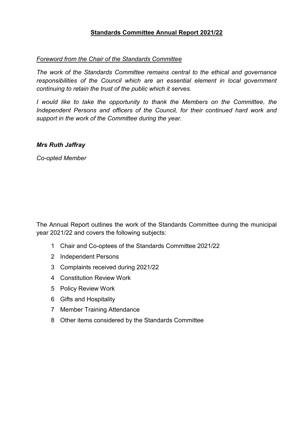# **Standards Committee Annual Report 2021/22**

## *Foreword from the Chair of the Standards Committee*

*The work of the Standards Committee remains central to the ethical and governance responsibilities of the Council which are an essential element in local government continuing to retain the trust of the public which it serves.* 

*I would like to take the opportunity to thank the Members on the Committee, the Independent Persons and officers of the Council, for their continued hard work and support in the work of the Committee during the year.* 

## *Mrs Ruth Jaffray*

*Co-opted Member*

The Annual Report outlines the work of the Standards Committee during the municipal year 2021/22 and covers the following subjects:

- 1 Chair and Co-optees of the Standards Committee 2021/22
- 2 Independent Persons
- 3 Complaints received during 2021/22
- 4 Constitution Review Work
- 5 Policy Review Work
- 6 Gifts and Hospitality
- 7 Member Training Attendance
- 8 Other items considered by the Standards Committee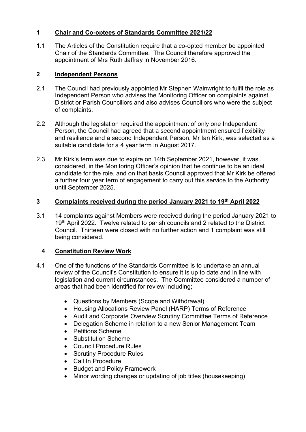# **1 Chair and Co-optees of Standards Committee 2021/22**

1.1 The Articles of the Constitution require that a co-opted member be appointed Chair of the Standards Committee. The Council therefore approved the appointment of Mrs Ruth Jaffray in November 2016.

# **2 Independent Persons**

- 2.1 The Council had previously appointed Mr Stephen Wainwright to fulfil the role as Independent Person who advises the Monitoring Officer on complaints against District or Parish Councillors and also advises Councillors who were the subject of complaints.
- 2.2 Although the legislation required the appointment of only one Independent Person, the Council had agreed that a second appointment ensured flexibility and resilience and a second Independent Person, Mr Ian Kirk, was selected as a suitable candidate for a 4 year term in August 2017.
- 2.3 Mr Kirk's term was due to expire on 14th September 2021, however, it was considered, in the Monitoring Officer's opinion that he continue to be an ideal candidate for the role, and on that basis Council approved that Mr Kirk be offered a further four year term of engagement to carry out this service to the Authority until September 2025.

# **3 Complaints received during the period January 2021 to 19th April 2022**

3.1 14 complaints against Members were received during the period January 2021 to 19<sup>th</sup> April 2022. Twelve related to parish councils and 2 related to the District Council. Thirteen were closed with no further action and 1 complaint was still being considered.

# **4 Constitution Review Work**

- 4.1 One of the functions of the Standards Committee is to undertake an annual review of the Council's Constitution to ensure it is up to date and in line with legislation and current circumstances. The Committee considered a number of areas that had been identified for review including;
	- Questions by Members (Scope and Withdrawal)
	- Housing Allocations Review Panel (HARP) Terms of Reference
	- Audit and Corporate Overview Scrutiny Committee Terms of Reference
	- Delegation Scheme in relation to a new Senior Management Team
	- Petitions Scheme
	- Substitution Scheme
	- Council Procedure Rules
	- Scrutiny Procedure Rules
	- Call In Procedure
	- Budget and Policy Framework
	- Minor wording changes or updating of job titles (housekeeping)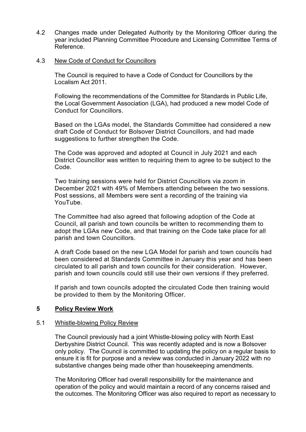4.2 Changes made under Delegated Authority by the Monitoring Officer during the year included Planning Committee Procedure and Licensing Committee Terms of Reference.

#### 4.3 New Code of Conduct for Councillors

The Council is required to have a Code of Conduct for Councillors by the Localism Act 2011.

Following the recommendations of the Committee for Standards in Public Life, the Local Government Association (LGA), had produced a new model Code of Conduct for Councillors.

Based on the LGAs model, the Standards Committee had considered a new draft Code of Conduct for Bolsover District Councillors, and had made suggestions to further strengthen the Code.

The Code was approved and adopted at Council in July 2021 and each District Councillor was written to requiring them to agree to be subject to the Code.

Two training sessions were held for District Councillors via zoom in December 2021 with 49% of Members attending between the two sessions. Post sessions, all Members were sent a recording of the training via YouTube.

The Committee had also agreed that following adoption of the Code at Council, all parish and town councils be written to recommending them to adopt the LGAs new Code, and that training on the Code take place for all parish and town Councillors.

A draft Code based on the new LGA Model for parish and town councils had been considered at Standards Committee in January this year and has been circulated to all parish and town councils for their consideration. However, parish and town councils could still use their own versions if they preferred.

If parish and town councils adopted the circulated Code then training would be provided to them by the Monitoring Officer.

## **5 Policy Review Work**

#### 5.1 Whistle-blowing Policy Review

The Council previously had a joint Whistle-blowing policy with North East Derbyshire District Council. This was recently adapted and is now a Bolsover only policy. The Council is committed to updating the policy on a regular basis to ensure it is fit for purpose and a review was conducted in January 2022 with no substantive changes being made other than housekeeping amendments.

The Monitoring Officer had overall responsibility for the maintenance and operation of the policy and would maintain a record of any concerns raised and the outcomes. The Monitoring Officer was also required to report as necessary to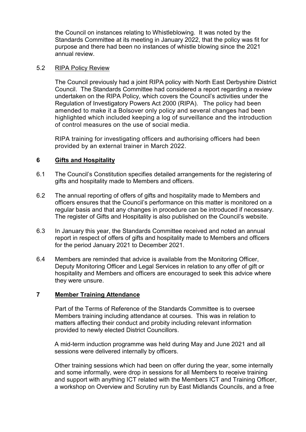the Council on instances relating to Whistleblowing. It was noted by the Standards Committee at its meeting in January 2022, that the policy was fit for purpose and there had been no instances of whistle blowing since the 2021 annual review.

## 5.2 RIPA Policy Review

The Council previously had a joint RIPA policy with North East Derbyshire District Council. The Standards Committee had considered a report regarding a review undertaken on the RIPA Policy, which covers the Council's activities under the Regulation of Investigatory Powers Act 2000 (RIPA). The policy had been amended to make it a Bolsover only policy and several changes had been highlighted which included keeping a log of surveillance and the introduction of control measures on the use of social media.

RIPA training for investigating officers and authorising officers had been provided by an external trainer in March 2022.

# **6 Gifts and Hospitality**

- 6.1 The Council's Constitution specifies detailed arrangements for the registering of gifts and hospitality made to Members and officers.
- 6.2 The annual reporting of offers of gifts and hospitality made to Members and officers ensures that the Council's performance on this matter is monitored on a regular basis and that any changes in procedure can be introduced if necessary. The register of Gifts and Hospitality is also published on the Council's website.
- 6.3 In January this year, the Standards Committee received and noted an annual report in respect of offers of gifts and hospitality made to Members and officers for the period January 2021 to December 2021.
- 6.4 Members are reminded that advice is available from the Monitoring Officer, Deputy Monitoring Officer and Legal Services in relation to any offer of gift or hospitality and Members and officers are encouraged to seek this advice where they were unsure.

# **7 Member Training Attendance**

Part of the Terms of Reference of the Standards Committee is to oversee Members training including attendance at courses. This was in relation to matters affecting their conduct and probity including relevant information provided to newly elected District Councillors.

A mid-term induction programme was held during May and June 2021 and all sessions were delivered internally by officers.

Other training sessions which had been on offer during the year, some internally and some informally, were drop in sessions for all Members to receive training and support with anything ICT related with the Members ICT and Training Officer, a workshop on Overview and Scrutiny run by East Midlands Councils, and a free